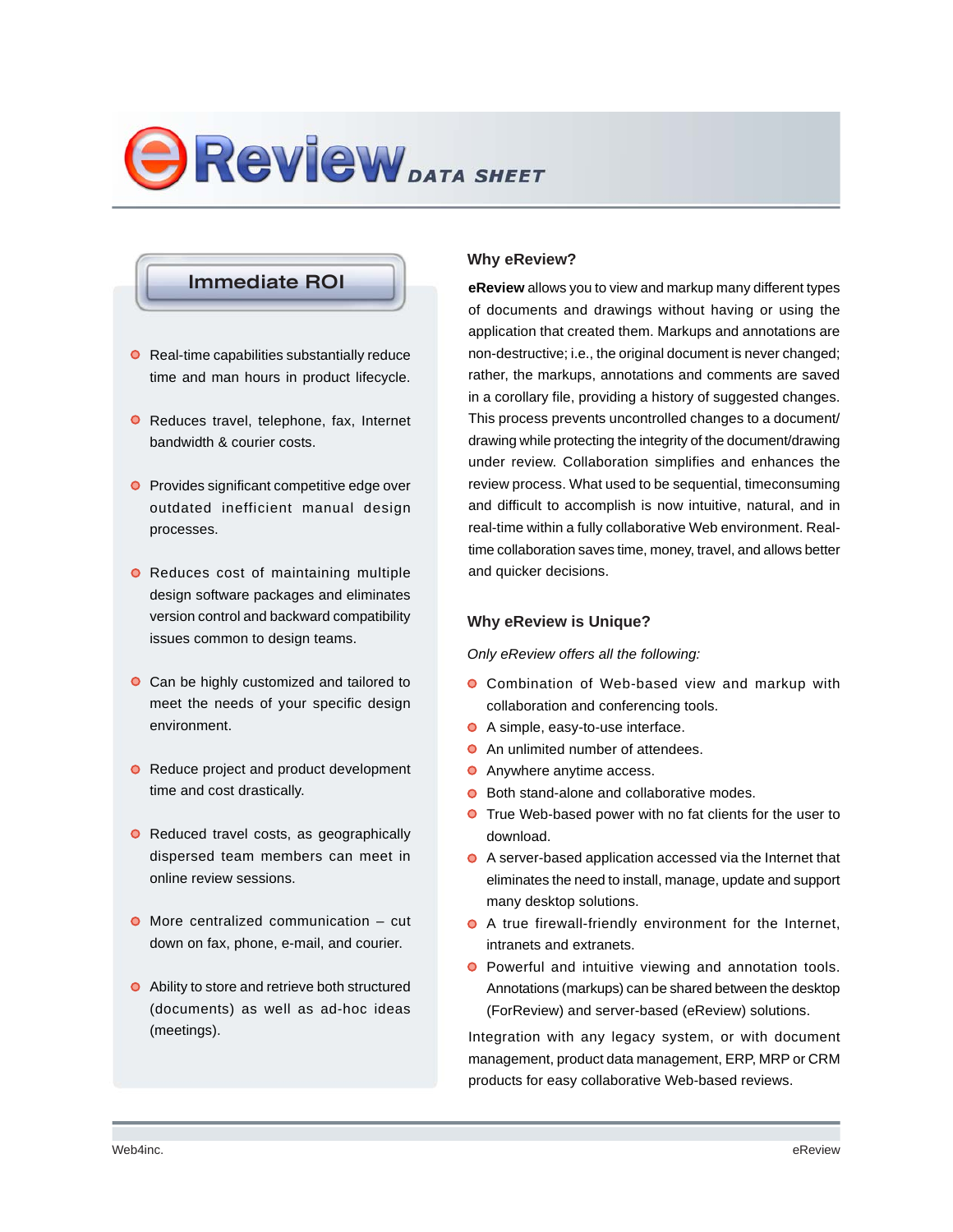# **BREVIEW** DATA SHEET

# **Immediate ROI**

- **O** Real-time capabilities substantially reduce time and man hours in product lifecycle.
- **O** Reduces travel, telephone, fax, Internet bandwidth & courier costs.
- **O** Provides significant competitive edge over outdated inefficient manual design processes.
- **O** Reduces cost of maintaining multiple design software packages and eliminates version control and backward compatibility issues common to design teams.
- **O** Can be highly customized and tailored to meet the needs of your specific design environment.
- **•** Reduce project and product development time and cost drastically.
- Reduced travel costs, as geographically dispersed team members can meet in online review sessions.
- **O** More centralized communication cut down on fax, phone, e-mail, and courier.
- Ability to store and retrieve both structured (documents) as well as ad-hoc ideas (meetings).

# **Why eReview?**

**eReview** allows you to view and markup many different types of documents and drawings without having or using the application that created them. Markups and annotations are non-destructive; i.e., the original document is never changed; rather, the markups, annotations and comments are saved in a corollary file, providing a history of suggested changes. This process prevents uncontrolled changes to a document/ drawing while protecting the integrity of the document/drawing under review. Collaboration simplifies and enhances the review process. What used to be sequential, timeconsuming and difficult to accomplish is now intuitive, natural, and in real-time within a fully collaborative Web environment. Realtime collaboration saves time, money, travel, and allows better and quicker decisions.

# **Why eReview is Unique?**

*Only eReview offers all the following:*

- Combination of Web-based view and markup with collaboration and conferencing tools.
- A simple, easy-to-use interface.
- **•** An unlimited number of attendees.
- **O** Anywhere anytime access.
- Both stand-alone and collaborative modes.
- **O** True Web-based power with no fat clients for the user to download.
- A server-based application accessed via the Internet that eliminates the need to install, manage, update and support many desktop solutions.
- A true firewall-friendly environment for the Internet, intranets and extranets.
- **O** Powerful and intuitive viewing and annotation tools. Annotations (markups) can be shared between the desktop (ForReview) and server-based (eReview) solutions.

Integration with any legacy system, or with document management, product data management, ERP, MRP or CRM products for easy collaborative Web-based reviews.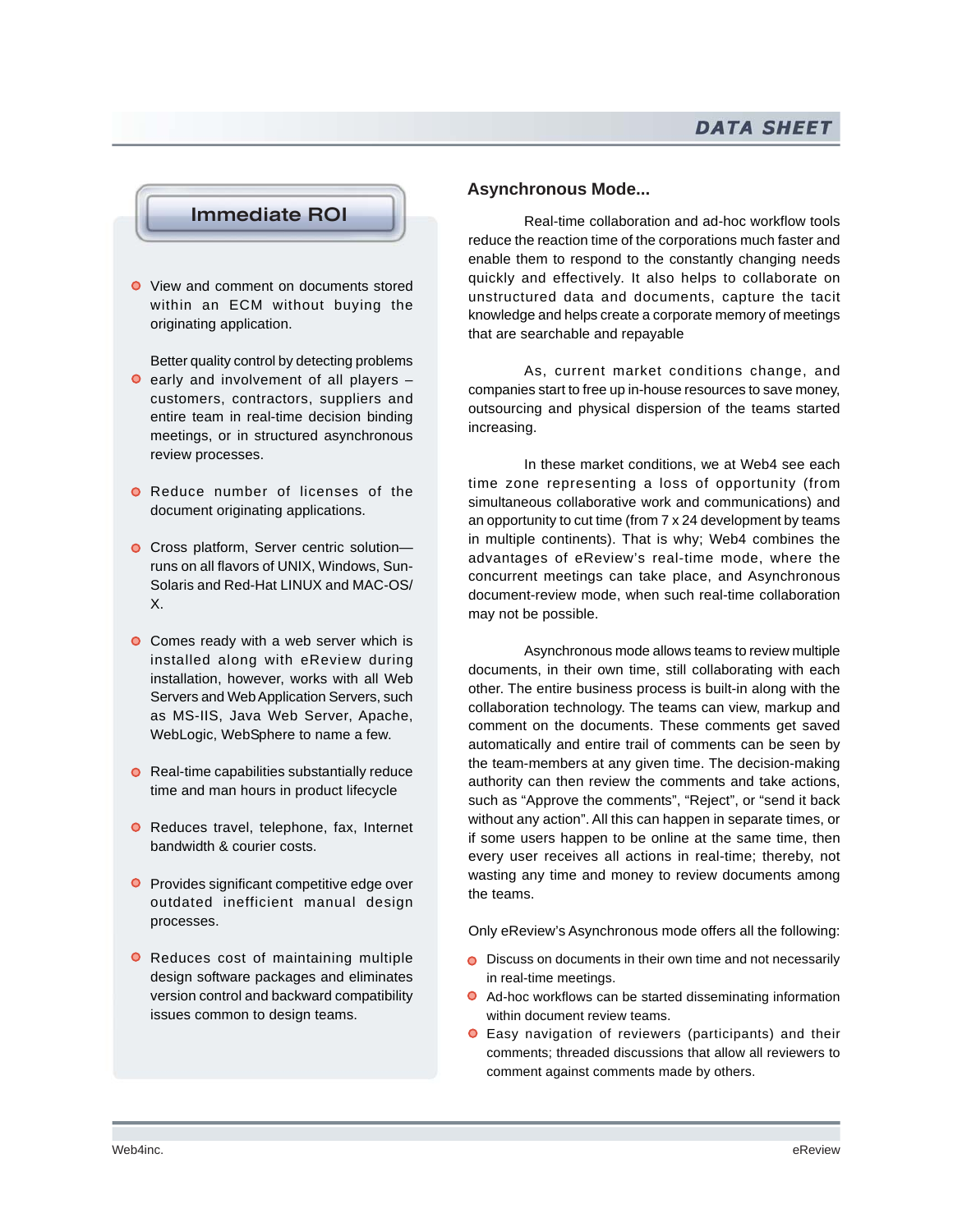

● View and comment on documents stored within an ECM without buying the originating application.

Better quality control by detecting problems

- $\bullet$  early and involvement of all players  $$ customers, contractors, suppliers and entire team in real-time decision binding meetings, or in structured asynchronous review processes.
- **O** Reduce number of licenses of the document originating applications.
- Cross platform, Server centric solutionruns on all flavors of UNIX, Windows, Sun-Solaris and Red-Hat LINUX and MAC-OS/ X.
- **O** Comes ready with a web server which is installed along with eReview during installation, however, works with all Web Servers and Web Application Servers, such as MS-IIS, Java Web Server, Apache, WebLogic, WebSphere to name a few.
- $\bullet$  Real-time capabilities substantially reduce time and man hours in product lifecycle
- **O** Reduces travel, telephone, fax, Internet bandwidth & courier costs.
- **Provides significant competitive edge over** outdated inefficient manual design processes.
- **O** Reduces cost of maintaining multiple design software packages and eliminates version control and backward compatibility issues common to design teams.

# **Asynchronous Mode...**

Real-time collaboration and ad-hoc workflow tools reduce the reaction time of the corporations much faster and enable them to respond to the constantly changing needs quickly and effectively. It also helps to collaborate on unstructured data and documents, capture the tacit knowledge and helps create a corporate memory of meetings that are searchable and repayable

As, current market conditions change, and companies start to free up in-house resources to save money, outsourcing and physical dispersion of the teams started increasing.

In these market conditions, we at Web4 see each time zone representing a loss of opportunity (from simultaneous collaborative work and communications) and an opportunity to cut time (from 7 x 24 development by teams in multiple continents). That is why; Web4 combines the advantages of eReview's real-time mode, where the concurrent meetings can take place, and Asynchronous document-review mode, when such real-time collaboration may not be possible.

Asynchronous mode allows teams to review multiple documents, in their own time, still collaborating with each other. The entire business process is built-in along with the collaboration technology. The teams can view, markup and comment on the documents. These comments get saved automatically and entire trail of comments can be seen by the team-members at any given time. The decision-making authority can then review the comments and take actions, such as "Approve the comments", "Reject", or "send it back without any action". All this can happen in separate times, or if some users happen to be online at the same time, then every user receives all actions in real-time; thereby, not wasting any time and money to review documents among the teams.

Only eReview's Asynchronous mode offers all the following:

- O Discuss on documents in their own time and not necessarily in real-time meetings.
- Ad-hoc workflows can be started disseminating information within document review teams.
- Easy navigation of reviewers (participants) and their comments; threaded discussions that allow all reviewers to comment against comments made by others.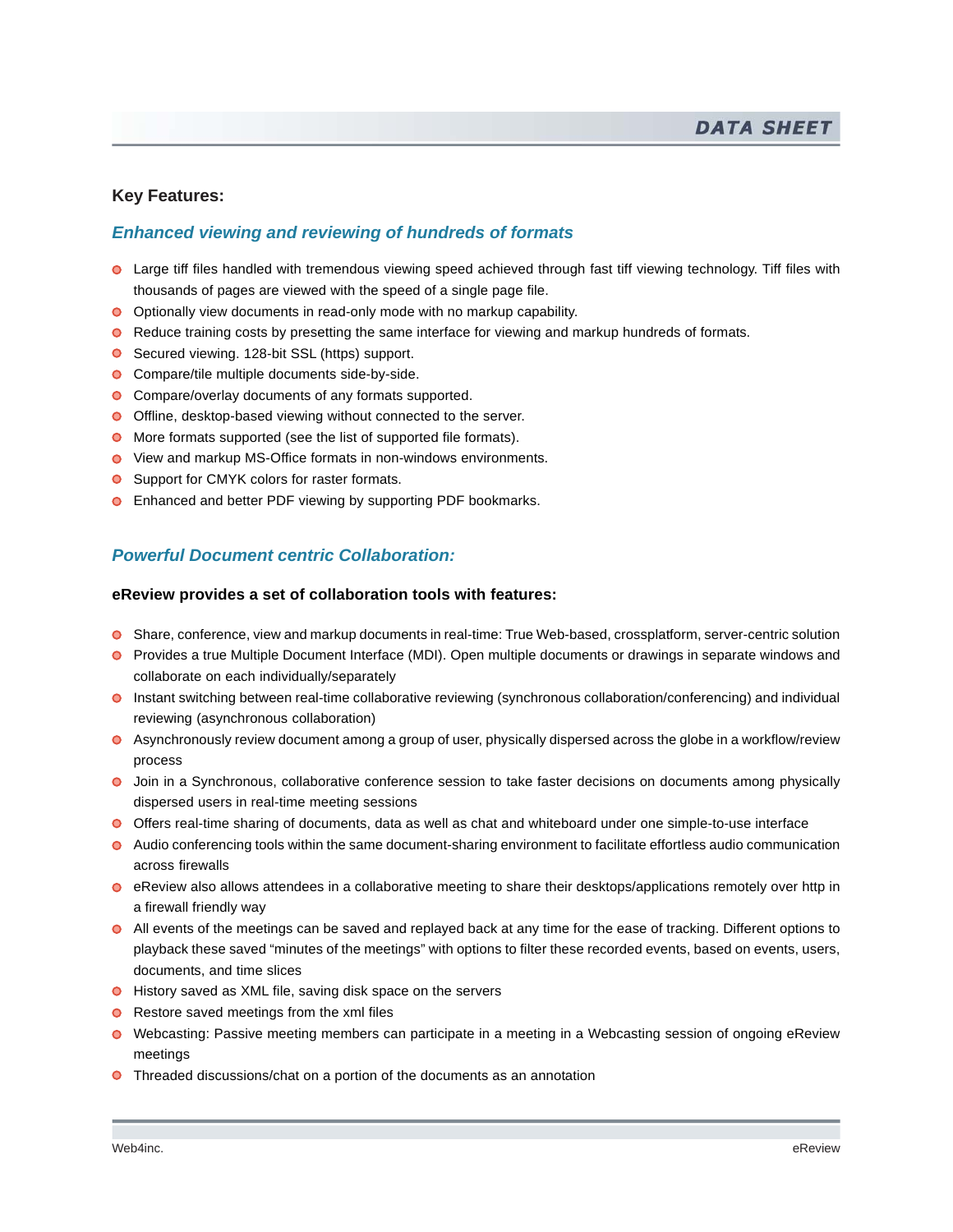# **Key Features:**

# *Enhanced viewing and reviewing of hundreds of formats*

- Large tiff files handled with tremendous viewing speed achieved through fast tiff viewing technology. Tiff files with thousands of pages are viewed with the speed of a single page file.
- O Optionally view documents in read-only mode with no markup capability.
- **•** Reduce training costs by presetting the same interface for viewing and markup hundreds of formats.
- Secured viewing. 128-bit SSL (https) support.
- **O** Compare/tile multiple documents side-by-side.
- **O** Compare/overlay documents of any formats supported.
- O Offline, desktop-based viewing without connected to the server.
- More formats supported (see the list of supported file formats).
- View and markup MS-Office formats in non-windows environments.
- **O** Support for CMYK colors for raster formats.
- **O** Enhanced and better PDF viewing by supporting PDF bookmarks.

# *Powerful Document centric Collaboration:*

#### **eReview provides a set of collaboration tools with features:**

- Share, conference, view and markup documents in real-time: True Web-based, crossplatform, server-centric solution
- Provides a true Multiple Document Interface (MDI). Open multiple documents or drawings in separate windows and collaborate on each individually/separately
- Instant switching between real-time collaborative reviewing (synchronous collaboration/conferencing) and individual reviewing (asynchronous collaboration)
- Asynchronously review document among a group of user, physically dispersed across the globe in a workflow/review process
- Join in a Synchronous, collaborative conference session to take faster decisions on documents among physically dispersed users in real-time meeting sessions
- Offers real-time sharing of documents, data as well as chat and whiteboard under one simple-to-use interface
- Audio conferencing tools within the same document-sharing environment to facilitate effortless audio communication across firewalls
- **e** eReview also allows attendees in a collaborative meeting to share their desktops/applications remotely over http in a firewall friendly way
- All events of the meetings can be saved and replayed back at any time for the ease of tracking. Different options to playback these saved "minutes of the meetings" with options to filter these recorded events, based on events, users, documents, and time slices
- History saved as XML file, saving disk space on the servers
- Restore saved meetings from the xml files
- Webcasting: Passive meeting members can participate in a meeting in a Webcasting session of ongoing eReview meetings
- **O** Threaded discussions/chat on a portion of the documents as an annotation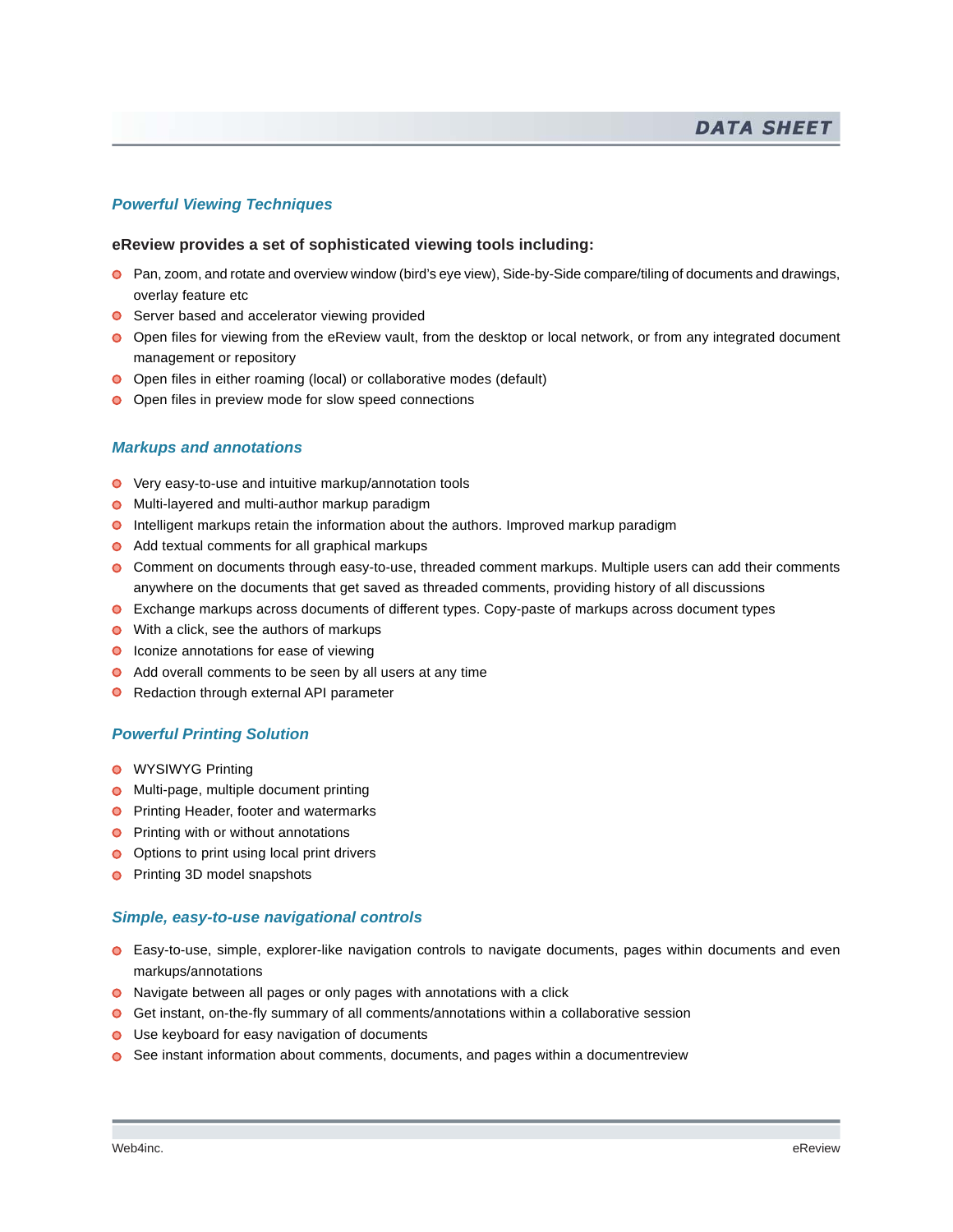# *Powerful Viewing Techniques*

#### **eReview provides a set of sophisticated viewing tools including:**

- Pan, zoom, and rotate and overview window (bird's eye view), Side-by-Side compare/tiling of documents and drawings, overlay feature etc
- **O** Server based and accelerator viewing provided
- Open files for viewing from the eReview vault, from the desktop or local network, or from any integrated document management or repository
- **O** Open files in either roaming (local) or collaborative modes (default)
- O Open files in preview mode for slow speed connections

#### *Markups and annotations*

- Very easy-to-use and intuitive markup/annotation tools
- **O** Multi-layered and multi-author markup paradigm
- **Intelligent markups retain the information about the authors. Improved markup paradigm**
- Add textual comments for all graphical markups
- **C** Comment on documents through easy-to-use, threaded comment markups. Multiple users can add their comments anywhere on the documents that get saved as threaded comments, providing history of all discussions
- Exchange markups across documents of different types. Copy-paste of markups across document types
- **●** With a click, see the authors of markups
- **O** Iconize annotations for ease of viewing
- Add overall comments to be seen by all users at any time
- **O** Redaction through external API parameter

#### *Powerful Printing Solution*

- **O** WYSIWYG Printing
- **O** Multi-page, multiple document printing
- **O** Printing Header, footer and watermarks
- **Printing with or without annotations**
- **O** Options to print using local print drivers
- **Printing 3D model snapshots**

#### *Simple, easy-to-use navigational controls*

- Easy-to-use, simple, explorer-like navigation controls to navigate documents, pages within documents and even markups/annotations
- Navigate between all pages or only pages with annotations with a click
- Get instant, on-the-fly summary of all comments/annotations within a collaborative session
- Use keyboard for easy navigation of documents
- See instant information about comments, documents, and pages within a documentreview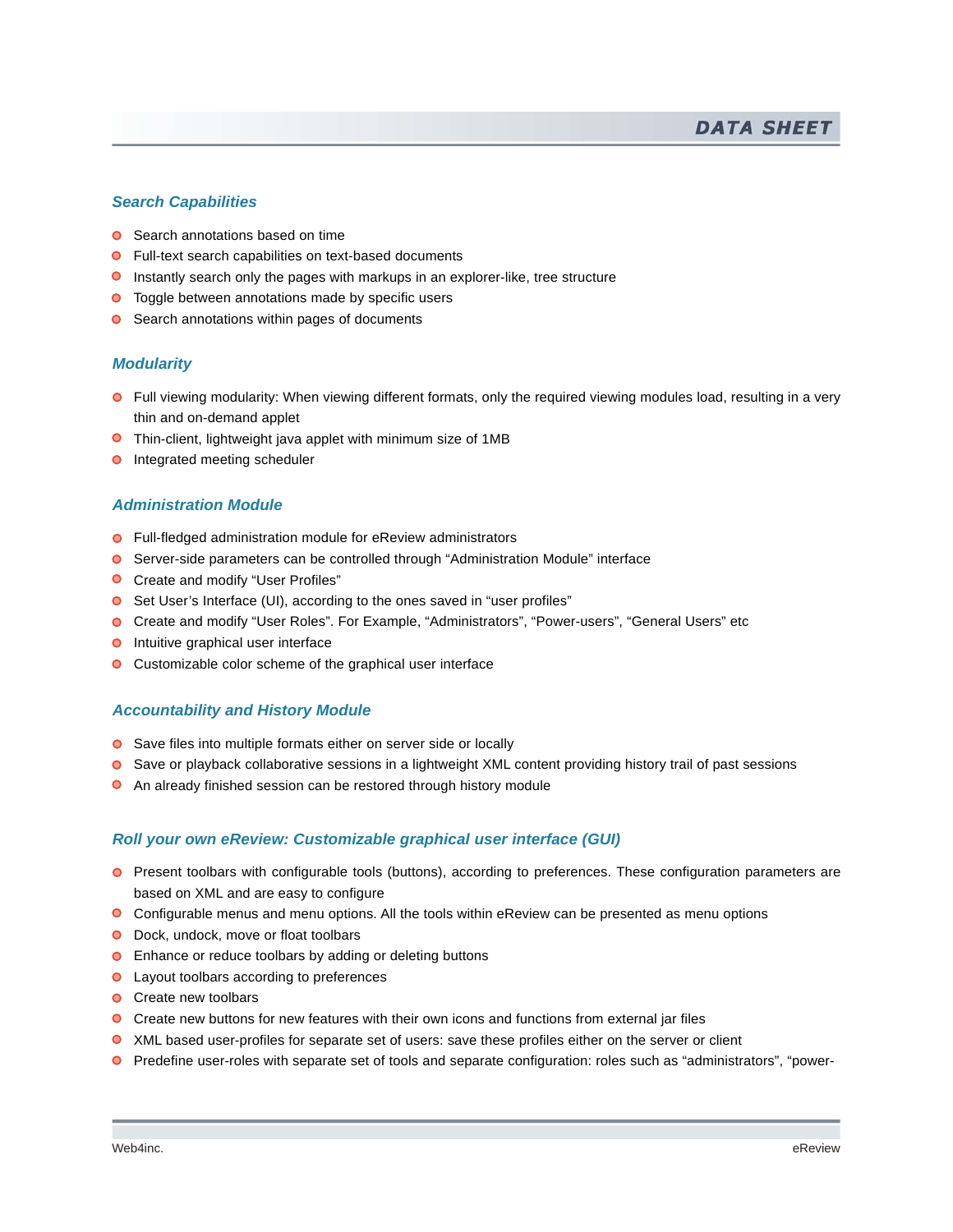#### *Search Capabilities*

- **■** Search annotations based on time
- **O** Full-text search capabilities on text-based documents
- **Instantly search only the pages with markups in an explorer-like, tree structure**
- **O** Toggle between annotations made by specific users
- **O** Search annotations within pages of documents

#### *Modularity*

- Full viewing modularity: When viewing different formats, only the required viewing modules load, resulting in a very thin and on-demand applet
- **O** Thin-client, lightweight java applet with minimum size of 1MB
- **O** Integrated meeting scheduler

#### *Administration Module*

- Full-fledged administration module for eReview administrators
- Server-side parameters can be controlled through "Administration Module" interface
- **O** Create and modify "User Profiles"
- Set User's Interface (UI), according to the ones saved in "user profiles"
- Create and modify "User Roles". For Example, "Administrators", "Power-users", "General Users" etc
- **O** Intuitive graphical user interface
- **O** Customizable color scheme of the graphical user interface

# *Accountability and History Module*

- Save files into multiple formats either on server side or locally
- **O** Save or playback collaborative sessions in a lightweight XML content providing history trail of past sessions
- $\bullet$ An already finished session can be restored through history module

# *Roll your own eReview: Customizable graphical user interface (GUI)*

- **O** Present toolbars with configurable tools (buttons), according to preferences. These configuration parameters are based on XML and are easy to configure
- Configurable menus and menu options. All the tools within eReview can be presented as menu options
- **O** Dock, undock, move or float toolbars
- **O** Enhance or reduce toolbars by adding or deleting buttons
- **O** Layout toolbars according to preferences
- **O** Create new toolbars
- Create new buttons for new features with their own icons and functions from external jar files
- **O** XML based user-profiles for separate set of users: save these profiles either on the server or client
- Predefine user-roles with separate set of tools and separate configuration: roles such as "administrators", "power-